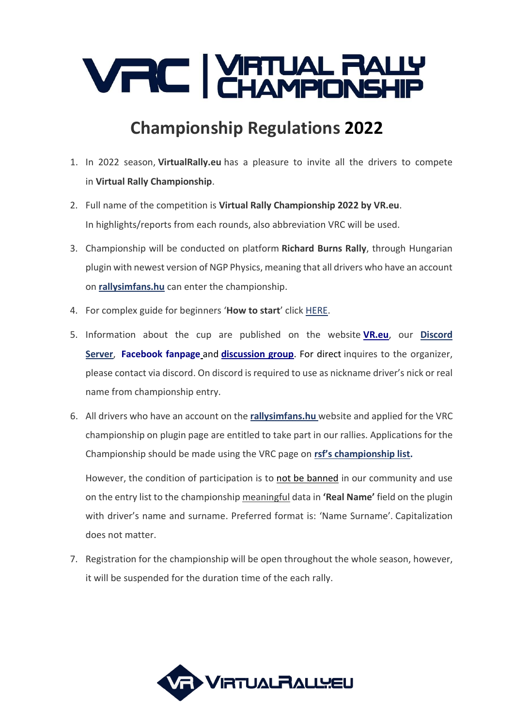

## **Championship Regulations 2022**

- 1. In 2022 season, **VirtualRally.eu** has a pleasure to invite all the drivers to compete in **Virtual Rally Championship**.
- 2. Full name of the competition is **Virtual Rally Championship 2022 by VR.eu**. In highlights/reports from each rounds, also abbreviation VRC will be used.
- 3. Championship will be conducted on platform **Richard Burns Rally**, through Hungarian plugin with newest version of NGP Physics, meaning that all drivers who have an account on **[rallysimfans.hu](https://www.rallysimfans.hu/)** can enter the championship.
- 4. For complex guide for beginners '**How to start**' click [HERE.](https://drive.google.com/drive/folders/1edPLytc8YNF_fPyWtVYDXdR9AR278yYh?fbclid=IwAR1QuJ85TuLIa-vqj8KV0D1Vp5BGOgF9i4g_CLh4md1yx-NPuJUs5a2Ednc)
- 5. Information about the cup are published on the website **[VR.eu](http://virtualrally.eu/)**, our **[Discord](https://discord.gg/ZPcz9xzUPT)  [Server](https://discord.gg/ZPcz9xzUPT)**, **[Facebook fanpage](https://www.facebook.com/virtualrallyeu/)** and **[discussion group](https://www.facebook.com/groups/1636616369914115/)**. For direct inquires to the organizer, please contact via discord. On discord is required to use as nickname driver's nick or real name from championship entry.
- 6. All drivers who have an account on the **[rallysimfans.hu](https://www.rallysimfans.hu/)** website and applied for the VRC championship on plugin page are entitled to take part in our rallies. Applications for the Championship should be made using the VRC page on **[rsf's championship list](https://rallysimfans.hu/rbr/bajnoksag2.php?b=reszletek&bajnoksag_id=164&nevezes_lista).**

However, the condition of participation is to not be banned in our community and use on the entry list to the championship meaningful data in **'Real Name'** field on the plugin with driver's name and surname. Preferred format is: 'Name Surname'. Capitalization does not matter.

7. Registration for the championship will be open throughout the whole season, however, it will be suspended for the duration time of the each rally.

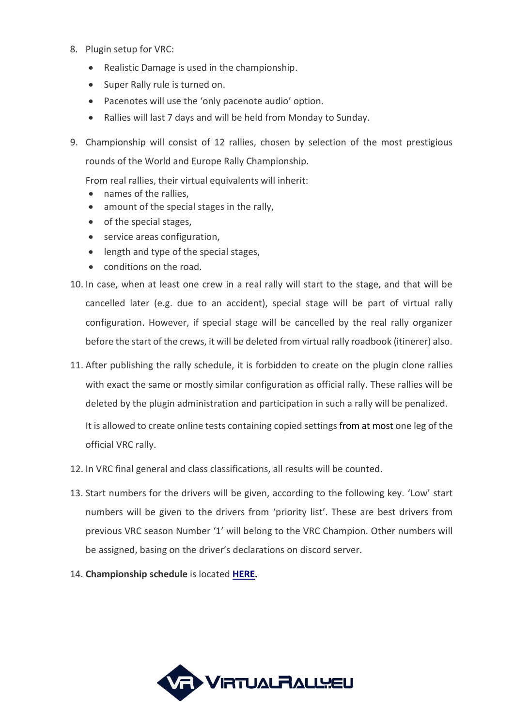- 8. Plugin setup for VRC:
	- Realistic Damage is used in the championship.
	- Super Rally rule is turned on.
	- Pacenotes will use the 'only pacenote audio' option.
	- Rallies will last 7 days and will be held from Monday to Sunday.
- 9. Championship will consist of 12 rallies, chosen by selection of the most prestigious rounds of the World and Europe Rally Championship.

From real rallies, their virtual equivalents will inherit:

- names of the rallies,
- amount of the special stages in the rally,
- of the special stages,
- service areas configuration,
- length and type of the special stages,
- conditions on the road.
- 10. In case, when at least one crew in a real rally will start to the stage, and that will be cancelled later (e.g. due to an accident), special stage will be part of virtual rally configuration. However, if special stage will be cancelled by the real rally organizer before the start of the crews, it will be deleted from virtual rally roadbook (itinerer) also.
- 11. After publishing the rally schedule, it is forbidden to create on the plugin clone rallies with exact the same or mostly similar configuration as official rally. These rallies will be deleted by the plugin administration and participation in such a rally will be penalized.

It is allowed to create online tests containing copied settings from at most one leg of the official VRC rally.

- 12. In VRC final general and class classifications, all results will be counted.
- 13. Start numbers for the drivers will be given, according to the following key. 'Low' start numbers will be given to the drivers from 'priority list'. These are best drivers from previous VRC season Number '1' will belong to the VRC Champion. Other numbers will be assigned, basing on the driver's declarations on discord server.
- 14. **Championship schedule** is located **[HERE.](http://virtualrally.eu/kalendarz/)**

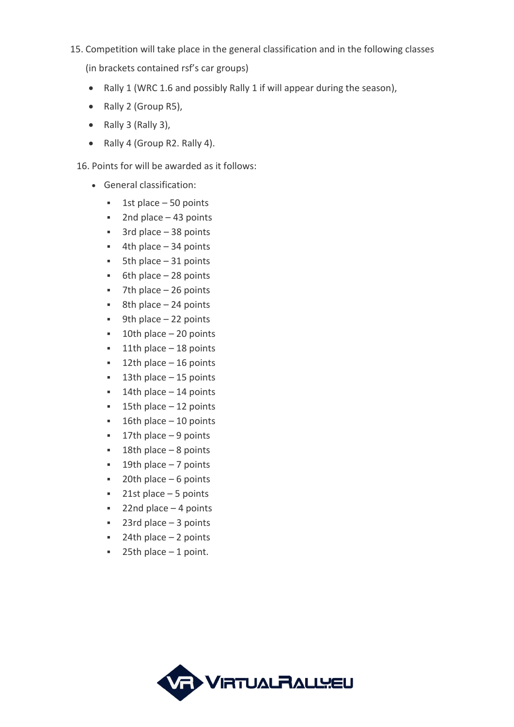## 15. Competition will take place in the general classification and in the following classes

(in brackets contained rsf's car groups)

- Rally 1 (WRC 1.6 and possibly Rally 1 if will appear during the season),
- Rally 2 (Group R5),
- Rally 3 (Rally 3),
- Rally 4 (Group R2. Rally 4).

## 16. Points for will be awarded as it follows:

- General classification:
	- $\blacksquare$  1st place 50 points
	- $\blacksquare$  2nd place 43 points
	- 3rd place 38 points
	- $\blacksquare$  4th place 34 points
	- $\blacksquare$  5th place 31 points
	- $•$  6th place  $-28$  points
	- $\blacksquare$  7th place 26 points
	- $\bullet$  8th place 24 points
	- $\blacksquare$  9th place 22 points
	- $\blacksquare$  10th place 20 points
	- $\blacksquare$  11th place 18 points
	- $\blacksquare$  12th place 16 points
	- 13th place 15 points
	- $\blacksquare$  14th place 14 points
	- 15th place 12 points
	- $\blacksquare$  16th place 10 points
	- 17th place 9 points
	- $\blacksquare$  18th place 8 points
	- 19th place 7 points
	- $\blacksquare$  20th place 6 points
	- 21st place 5 points
	- $\blacksquare$  22nd place 4 points
	- $23rd$  place  $-3$  points
	- $\blacksquare$  24th place 2 points
	- $\blacksquare$  25th place 1 point.

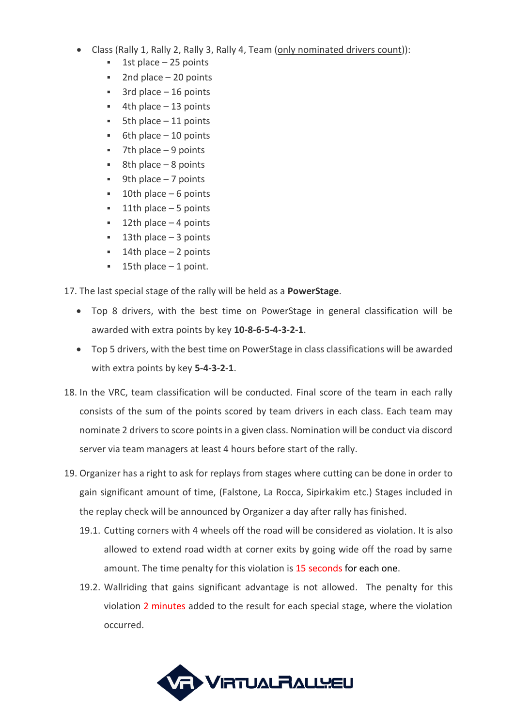- Class (Rally 1, Rally 2, Rally 3, Rally 4, Team (only nominated drivers count)):
	- 1st place  $-25$  points
	- 2nd place  $-20$  points
	- $3rd$  place  $-16$  points
	- $4th$  place  $-13$  points
	- $5th$  place  $-11$  points
	- $6th$  place  $-10$  points
	- $7th$  place  $-9$  points
	- $8th$  place 8 points
	- $9th$  place  $-7$  points
	- 10th place  $-6$  points
	- 11th place  $-5$  points
	- 12th place  $-$  4 points
	- 13th place  $-3$  points
	- 14th place  $-2$  points
	- 15th place  $-1$  point.

17. The last special stage of the rally will be held as a **PowerStage**.

- Top 8 drivers, with the best time on PowerStage in general classification will be awarded with extra points by key **10-8-6-5-4-3-2-1**.
- Top 5 drivers, with the best time on PowerStage in class classifications will be awarded with extra points by key **5-4-3-2-1**.
- 18. In the VRC, team classification will be conducted. Final score of the team in each rally consists of the sum of the points scored by team drivers in each class. Each team may nominate 2 drivers to score points in a given class. Nomination will be conduct via discord server via team managers at least 4 hours before start of the rally.
- 19. Organizer has a right to ask for replays from stages where cutting can be done in order to gain significant amount of time, (Falstone, La Rocca, Sipirkakim etc.) Stages included in the replay check will be announced by Organizer a day after rally has finished.
	- 19.1. Cutting corners with 4 wheels off the road will be considered as violation. It is also allowed to extend road width at corner exits by going wide off the road by same amount. The time penalty for this violation is 15 seconds for each one.
	- 19.2. Wallriding that gains significant advantage is not allowed. The penalty for this violation 2 minutes added to the result for each special stage, where the violation occurred.

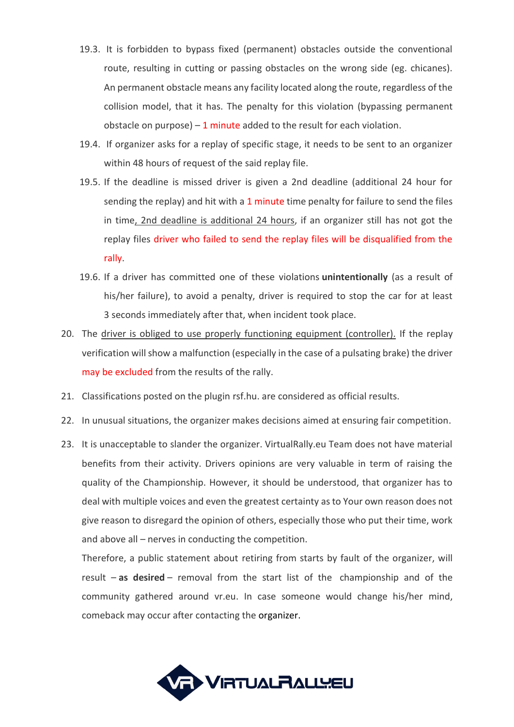- 19.3. It is forbidden to bypass fixed (permanent) obstacles outside the conventional route, resulting in cutting or passing obstacles on the wrong side (eg. chicanes). An permanent obstacle means any facility located along the route, regardless of the collision model, that it has. The penalty for this violation (bypassing permanent obstacle on purpose)  $-1$  minute added to the result for each violation.
- 19.4. If organizer asks for a replay of specific stage, it needs to be sent to an organizer within 48 hours of request of the said replay file.
- 19.5. If the deadline is missed driver is given a 2nd deadline (additional 24 hour for sending the replay) and hit with a 1 minute time penalty for failure to send the files in time, 2nd deadline is additional 24 hours, if an organizer still has not got the replay files driver who failed to send the replay files will be disqualified from the rally.
- 19.6. If a driver has committed one of these violations **unintentionally** (as a result of his/her failure), to avoid a penalty, driver is required to stop the car for at least 3 seconds immediately after that, when incident took place.
- 20. The driver is obliged to use properly functioning equipment (controller). If the replay verification will show a malfunction (especially in the case of a pulsating brake) the driver may be excluded from the results of the rally.
- 21. Classifications posted on the plugin rsf.hu. are considered as official results.
- 22. In unusual situations, the organizer makes decisions aimed at ensuring fair competition.
- 23. It is unacceptable to slander the organizer. VirtualRally.eu Team does not have material benefits from their activity. Drivers opinions are very valuable in term of raising the quality of the Championship. However, it should be understood, that organizer has to deal with multiple voices and even the greatest certainty as to Your own reason does not give reason to disregard the opinion of others, especially those who put their time, work and above all – nerves in conducting the competition.

Therefore, a public statement about retiring from starts by fault of the organizer, will result – **as desired** – removal from the start list of the championship and of the community gathered around vr.eu. In case someone would change his/her mind, comeback may occur after contacting the organizer.